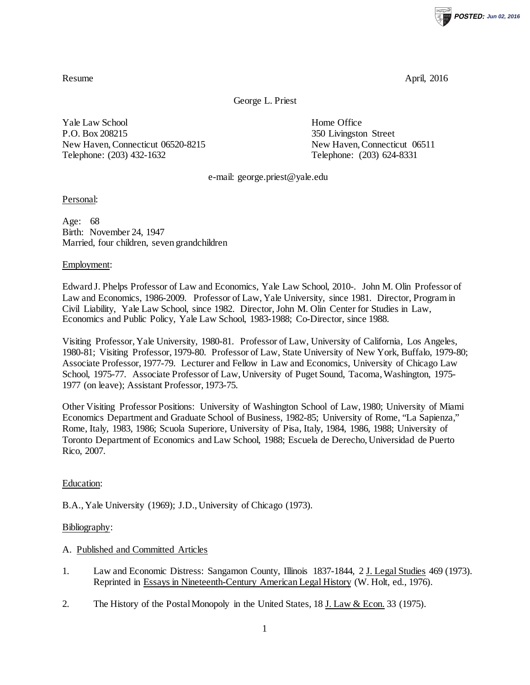**POSTED: Jun 02, 2016**

Resume April, 2016

George L. Priest

Yale Law School **Home Office** P.O. Box 208215 350 Livingston Street New Haven, Connecticut 06520-8215 New Haven, Connecticut 06511 Telephone: (203) 432-1632 Telephone: (203) 624-8331

e-mail: george.priest@yale.edu

Personal:

Age: 68 Birth: November 24, 1947 Married, four children, seven grandchildren

Employment:

Edward J. Phelps Professor of Law and Economics, Yale Law School, 2010-. John M. Olin Professor of Law and Economics, 1986-2009. Professor of Law, Yale University, since 1981. Director, Program in Civil Liability, Yale Law School, since 1982. Director, John M. Olin Center for Studies in Law, Economics and Public Policy, Yale Law School, 1983-1988; Co-Director, since 1988.

Visiting Professor, Yale University, 1980-81. Professor of Law, University of California, Los Angeles, 1980-81; Visiting Professor, 1979-80. Professor of Law, State University of New York, Buffalo, 1979-80; Associate Professor, 1977-79. Lecturer and Fellow in Law and Economics, University of Chicago Law School, 1975-77. Associate Professor of Law, University of Puget Sound, Tacoma, Washington, 1975- 1977 (on leave); Assistant Professor, 1973-75.

Other Visiting Professor Positions: University of Washington School of Law, 1980; University of Miami Economics Department and Graduate School of Business, 1982-85; University of Rome, "La Sapienza," Rome, Italy, 1983, 1986; Scuola Superiore, University of Pisa, Italy, 1984, 1986, 1988; University of Toronto Department of Economics and Law School, 1988; Escuela de Derecho, Universidad de Puerto Rico, 2007.

Education:

B.A., Yale University (1969); J.D., University of Chicago (1973).

Bibliography:

A. Published and Committed Articles

- 1. Law and Economic Distress: Sangamon County, Illinois 1837-1844, 2 J. Legal Studies 469 (1973). Reprinted in Essays in Nineteenth-Century American Legal History (W. Holt, ed., 1976).
- 2. The History of the Postal Monopoly in the United States, 18 J. Law & Econ. 33 (1975).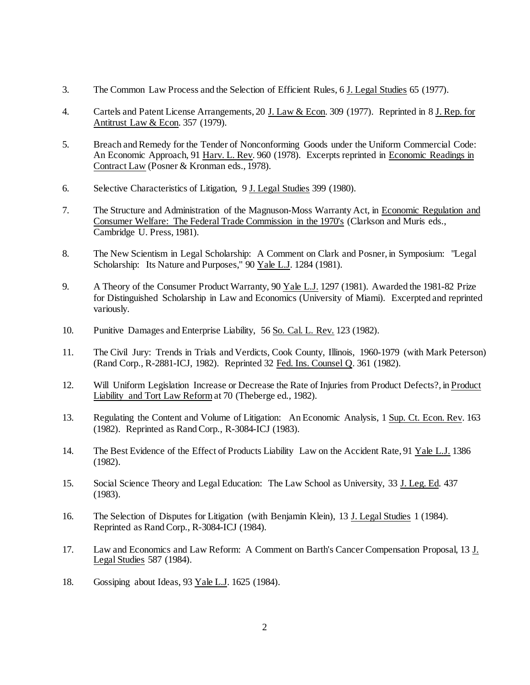- 3. The Common Law Process and the Selection of Efficient Rules, 6 J. Legal Studies 65 (1977).
- 4. Cartels and Patent License Arrangements, 20 J. Law & Econ. 309 (1977). Reprinted in 8 J. Rep. for Antitrust Law & Econ. 357 (1979).
- 5. Breach and Remedy for the Tender of Nonconforming Goods under the Uniform Commercial Code: An Economic Approach, 91 Harv. L. Rev. 960 (1978). Excerpts reprinted in Economic Readings in Contract Law (Posner & Kronman eds., 1978).
- 6. Selective Characteristics of Litigation, 9 J. Legal Studies 399 (1980).
- 7. The Structure and Administration of the Magnuson-Moss Warranty Act, in Economic Regulation and Consumer Welfare: The Federal Trade Commission in the 1970's (Clarkson and Muris eds., Cambridge U. Press, 1981).
- 8. The New Scientism in Legal Scholarship: A Comment on Clark and Posner, in Symposium: "Legal Scholarship: Its Nature and Purposes," 90 Yale L.J. 1284 (1981).
- 9. A Theory of the Consumer Product Warranty, 90 Yale L.J. 1297 (1981). Awarded the 1981-82 Prize for Distinguished Scholarship in Law and Economics (University of Miami). Excerpted and reprinted variously.
- 10. Punitive Damages and Enterprise Liability, 56 So. Cal. L. Rev. 123 (1982).
- 11. The Civil Jury: Trends in Trials and Verdicts, Cook County, Illinois, 1960-1979 (with Mark Peterson) (Rand Corp., R-2881-ICJ, 1982). Reprinted 32 Fed. Ins. Counsel Q. 361 (1982).
- 12. Will Uniform Legislation Increase or Decrease the Rate of Injuries from Product Defects?, in Product Liability and Tort Law Reformat 70 (Theberge ed., 1982).
- 13. Regulating the Content and Volume of Litigation: An Economic Analysis, 1 Sup. Ct. Econ. Rev. 163 (1982). Reprinted as Rand Corp., R-3084-ICJ (1983).
- 14. The Best Evidence of the Effect of Products Liability Law on the Accident Rate, 91 Yale L.J. 1386 (1982).
- 15. Social Science Theory and Legal Education: The Law School as University, 33 J. Leg. Ed. 437 (1983).
- 16. The Selection of Disputes for Litigation (with Benjamin Klein), 13 J. Legal Studies 1 (1984). Reprinted as Rand Corp., R-3084-ICJ (1984).
- 17. Law and Economics and Law Reform: A Comment on Barth's Cancer Compensation Proposal, 13 J. Legal Studies 587 (1984).
- 18. Gossiping about Ideas, 93 Yale L.J. 1625 (1984).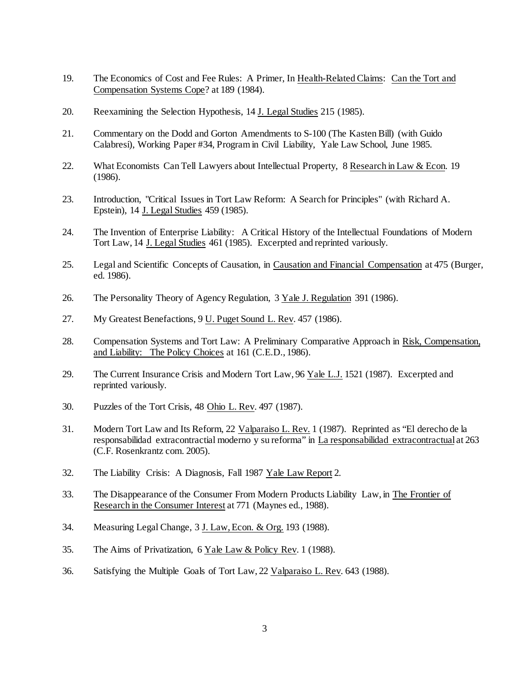- 19. The Economics of Cost and Fee Rules: A Primer, In Health-Related Claims: Can the Tort and Compensation Systems Cope? at 189 (1984).
- 20. Reexamining the Selection Hypothesis, 14 J. Legal Studies 215 (1985).
- 21. Commentary on the Dodd and Gorton Amendments to S-100 (The Kasten Bill) (with Guido Calabresi), Working Paper #34, Program in Civil Liability, Yale Law School, June 1985.
- 22. What Economists Can Tell Lawyers about Intellectual Property, 8 Research in Law & Econ. 19 (1986).
- 23. Introduction, "Critical Issues in Tort Law Reform: A Search for Principles" (with Richard A. Epstein), 14 J. Legal Studies 459 (1985).
- 24. The Invention of Enterprise Liability: A Critical History of the Intellectual Foundations of Modern Tort Law, 14 J. Legal Studies 461 (1985). Excerpted and reprinted variously.
- 25. Legal and Scientific Concepts of Causation, in Causation and Financial Compensation at 475 (Burger, ed. 1986).
- 26. The Personality Theory of Agency Regulation, 3 Yale J. Regulation 391 (1986).
- 27. My Greatest Benefactions, 9 U. Puget Sound L. Rev. 457 (1986).
- 28. Compensation Systems and Tort Law: A Preliminary Comparative Approach in Risk, Compensation, and Liability: The Policy Choices at 161 (C.E.D., 1986).
- 29. The Current Insurance Crisis and Modern Tort Law, 96 Yale L.J. 1521 (1987). Excerpted and reprinted variously.
- 30. Puzzles of the Tort Crisis, 48 Ohio L. Rev. 497 (1987).
- 31. Modern Tort Law and Its Reform, 22 Valparaiso L. Rev. 1 (1987). Reprinted as "El derecho de la responsabilidad extracontractial moderno y su reforma" in La responsabilidad extracontractual at 263 (C.F. Rosenkrantz com. 2005).
- 32. The Liability Crisis: A Diagnosis, Fall 1987 Yale Law Report 2.
- 33. The Disappearance of the Consumer From Modern Products Liability Law, in The Frontier of Research in the Consumer Interest at 771 (Maynes ed., 1988).
- 34. Measuring Legal Change, 3 J. Law, Econ. & Org. 193 (1988).
- 35. The Aims of Privatization, 6 Yale Law & Policy Rev. 1 (1988).
- 36. Satisfying the Multiple Goals of Tort Law, 22 Valparaiso L. Rev. 643 (1988).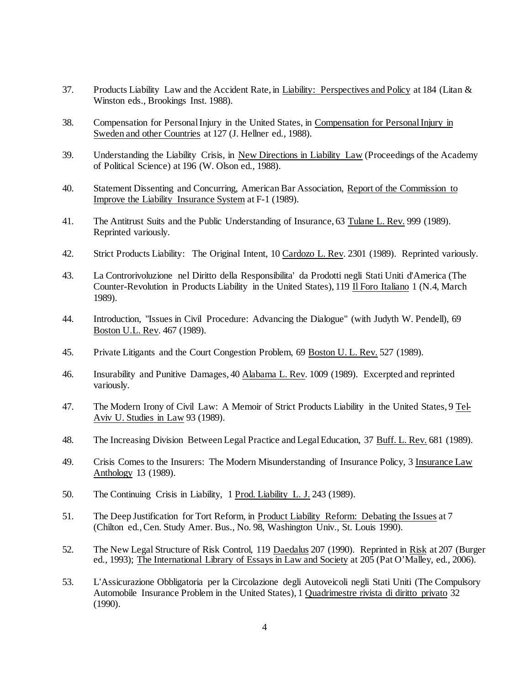- 37. Products Liability Law and the Accident Rate, in Liability: Perspectives and Policy at 184 (Litan & Winston eds., Brookings Inst. 1988).
- 38. Compensation for Personal Injury in the United States, in Compensation for Personal Injury in Sweden and other Countries at 127 (J. Hellner ed., 1988).
- 39. Understanding the Liability Crisis, in New Directions in Liability Law (Proceedings of the Academy of Political Science) at 196 (W. Olson ed., 1988).
- 40. Statement Dissenting and Concurring, American Bar Association, Report of the Commission to Improve the Liability Insurance System at F-1 (1989).
- 41. The Antitrust Suits and the Public Understanding of Insurance, 63 Tulane L. Rev. 999 (1989). Reprinted variously.
- 42. Strict Products Liability: The Original Intent, 10 Cardozo L. Rev. 2301 (1989). Reprinted variously.
- 43. La Controrivoluzione nel Diritto della Responsibilita' da Prodotti negli Stati Uniti d'America (The Counter-Revolution in Products Liability in the United States), 119 Il Foro Italiano 1 (N.4, March 1989).
- 44. Introduction, "Issues in Civil Procedure: Advancing the Dialogue" (with Judyth W. Pendell), 69 Boston U.L. Rev. 467 (1989).
- 45. Private Litigants and the Court Congestion Problem, 69 Boston U. L. Rev. 527 (1989).
- 46. Insurability and Punitive Damages, 40 Alabama L. Rev. 1009 (1989). Excerpted and reprinted variously.
- 47. The Modern Irony of Civil Law: A Memoir of Strict Products Liability in the United States, 9 Tel-Aviv U. Studies in Law 93 (1989).
- 48. The Increasing Division Between Legal Practice and Legal Education, 37 Buff. L. Rev. 681 (1989).
- 49. Crisis Comes to the Insurers: The Modern Misunderstanding of Insurance Policy, 3 Insurance Law Anthology 13 (1989).
- 50. The Continuing Crisis in Liability, 1 Prod. Liability L. J. 243 (1989).
- 51. The Deep Justification for Tort Reform, in Product Liability Reform: Debating the Issues at 7 (Chilton ed., Cen. Study Amer. Bus., No. 98, Washington Univ., St. Louis 1990).
- 52. The New Legal Structure of Risk Control, 119 Daedalus 207 (1990). Reprinted in Risk at 207 (Burger ed., 1993); The International Library of Essays in Law and Society at 205 (Pat O'Malley, ed., 2006).
- 53. L'Assicurazione Obbligatoria per la Circolazione degli Autoveicoli negli Stati Uniti (The Compulsory Automobile Insurance Problem in the United States), 1 Quadrimestre rivista di diritto privato 32 (1990).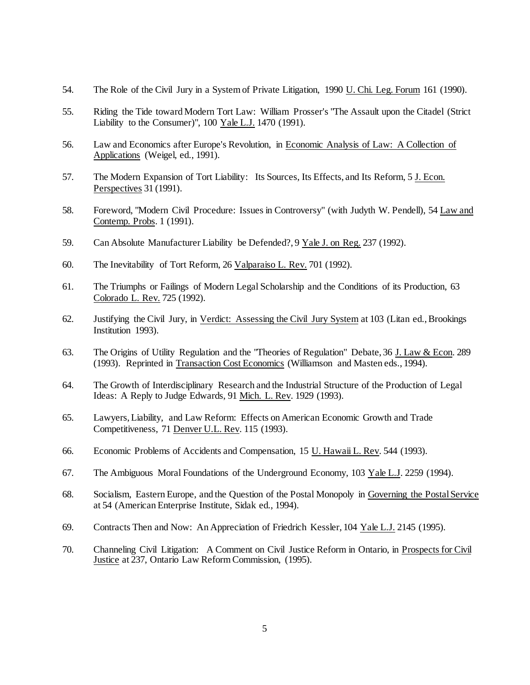- 54. The Role of the Civil Jury in a System of Private Litigation, 1990 U. Chi. Leg. Forum 161 (1990).
- 55. Riding the Tide toward Modern Tort Law: William Prosser's "The Assault upon the Citadel (Strict Liability to the Consumer)", 100 Yale L.J. 1470 (1991).
- 56. Law and Economics after Europe's Revolution, in Economic Analysis of Law: A Collection of Applications (Weigel, ed., 1991).
- 57. The Modern Expansion of Tort Liability: Its Sources, Its Effects, and Its Reform, 5 J. Econ. Perspectives 31 (1991).
- 58. Foreword, "Modern Civil Procedure: Issues in Controversy" (with Judyth W. Pendell), 54 Law and Contemp. Probs. 1 (1991).
- 59. Can Absolute Manufacturer Liability be Defended?, 9 Yale J. on Reg. 237 (1992).
- 60. The Inevitability of Tort Reform, 26 Valparaiso L. Rev. 701 (1992).
- 61. The Triumphs or Failings of Modern Legal Scholarship and the Conditions of its Production, 63 Colorado L. Rev. 725 (1992).
- 62. Justifying the Civil Jury, in Verdict: Assessing the Civil Jury System at 103 (Litan ed., Brookings Institution 1993).
- 63. The Origins of Utility Regulation and the "Theories of Regulation" Debate, 36 J. Law & Econ. 289 (1993). Reprinted in Transaction Cost Economics (Williamson and Masten eds., 1994).
- 64. The Growth of Interdisciplinary Research and the Industrial Structure of the Production of Legal Ideas: A Reply to Judge Edwards, 91 Mich. L. Rev. 1929 (1993).
- 65. Lawyers, Liability, and Law Reform: Effects on American Economic Growth and Trade Competitiveness, 71 Denver U.L. Rev. 115 (1993).
- 66. Economic Problems of Accidents and Compensation, 15 U. Hawaii L. Rev. 544 (1993).
- 67. The Ambiguous Moral Foundations of the Underground Economy, 103 Yale L.J. 2259 (1994).
- 68. Socialism, Eastern Europe, and the Question of the Postal Monopoly in Governing the Postal Service at 54 (American Enterprise Institute, Sidak ed., 1994).
- 69. Contracts Then and Now: An Appreciation of Friedrich Kessler, 104 Yale L.J. 2145 (1995).
- 70. Channeling Civil Litigation: A Comment on Civil Justice Reform in Ontario, in Prospects for Civil Justice at 237, Ontario Law Reform Commission, (1995).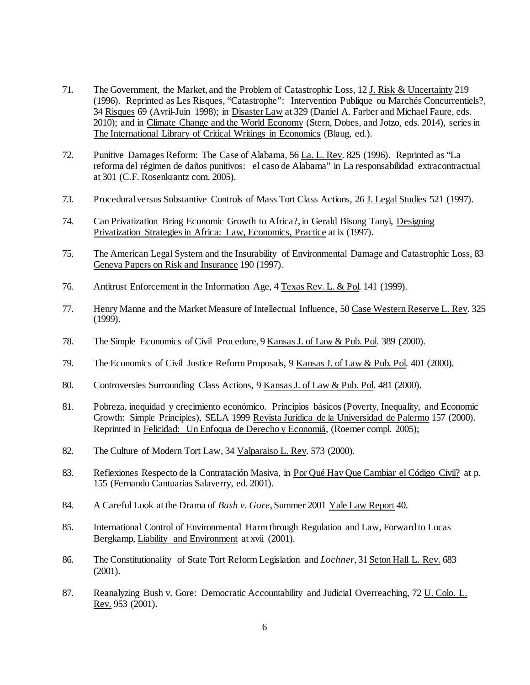- 71. The Government, the Market, and the Problem of Catastrophic Loss, 12 J. Risk & Uncertainty 219 (1996). Reprinted as Les Risques, "Catastrophe": Intervention Publique ou Marchés Concurrentiels?, 34 Risques 69 (Avril-Juin 1998); in Disaster Law at 329 (Daniel A. Farber and Michael Faure, eds. 2010); and in Climate Change and the World Economy (Stern, Dobes, and Jotzo, eds. 2014), series in The International Library of Critical Writings in Economics (Blaug, ed.).
- 72. Punitive Damages Reform: The Case of Alabama, 56 La. L. Rev. 825 (1996). Reprinted as "La reforma del régimen de daños punitivos: el caso de Alabama" in La responsabilidad extracontractual at 301 (C.F. Rosenkrantz com. 2005).
- 73. Procedural versus Substantive Controls of Mass Tort Class Actions, 26 J. Legal Studies 521 (1997).
- 74. Can Privatization Bring Economic Growth to Africa?, in Gerald Bisong Tanyi, Designing Privatization Strategies in Africa: Law, Economics, Practice at ix (1997).
- 75. The American Legal System and the Insurability of Environmental Damage and Catastrophic Loss, 83 Geneva Papers on Risk and Insurance 190 (1997).
- 76. Antitrust Enforcement in the Information Age, 4 Texas Rev. L. & Pol. 141 (1999).
- 77. Henry Manne and the Market Measure of Intellectual Influence, 50 Case Western Reserve L. Rev. 325 (1999).
- 78. The Simple Economics of Civil Procedure, 9 Kansas J. of Law & Pub. Pol. 389 (2000).
- 79. The Economics of Civil Justice Reform Proposals, 9 Kansas J. of Law & Pub. Pol. 401 (2000).
- 80. Controversies Surrounding Class Actions, 9 Kansas J. of Law & Pub. Pol. 481 (2000).
- 81. Pobreza, inequidad y crecimiento económico. Principios básicos (Poverty, Inequality, and Economic Growth: Simple Principles), SELA 1999 Revista Jurídica de la Universidad de Palermo 157 (2000). Reprinted in Felicidad: Un Enfoqua de Derecho y Economiá, (Roemer compl. 2005);
- 82. The Culture of Modern Tort Law, 34 Valparaiso L. Rev. 573 (2000).
- 83. Reflexiones Respecto de la Contratación Masiva, in Por Qué Hay Que Cambiar el Código Civil? at p. 155 (Fernando Cantuarias Salaverry, ed. 2001).
- 84. A Careful Look at the Drama of *Bush v. Gore*, Summer 2001 Yale Law Report 40.
- 85. International Control of Environmental Harm through Regulation and Law, Forward to Lucas Bergkamp, Liability and Environment at xvii (2001).
- 86. The Constitutionality of State Tort Reform Legislation and *Lochner*, 31 Seton Hall L. Rev. 683 (2001).
- 87. Reanalyzing Bush v. Gore: Democratic Accountability and Judicial Overreaching, 72 U. Colo. L. Rev. 953 (2001).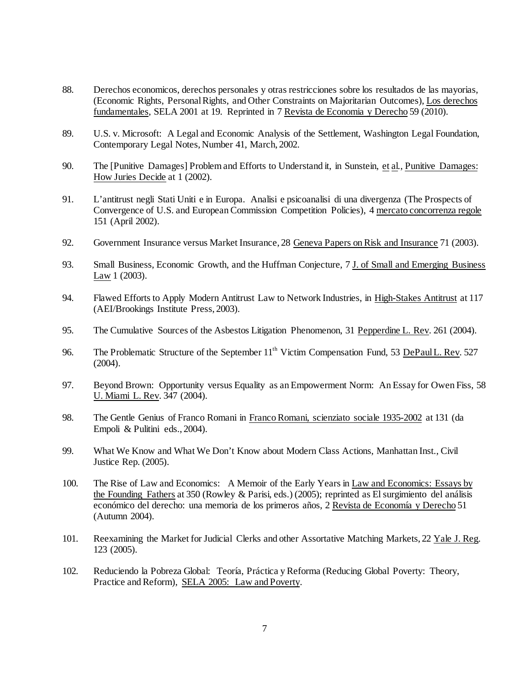- 88. Derechos economicos, derechos personales y otras restricciones sobre los resultados de las mayorias, (Economic Rights, Personal Rights, and Other Constraints on Majoritarian Outcomes), Los derechos fundamentales, SELA 2001 at 19. Reprinted in 7 Revista de Economia y Derecho 59 (2010).
- 89. U.S. v. Microsoft: A Legal and Economic Analysis of the Settlement, Washington Legal Foundation, Contemporary Legal Notes, Number 41, March, 2002.
- 90. The [Punitive Damages] Problem and Efforts to Understand it, in Sunstein, et al., Punitive Damages: How Juries Decide at 1 (2002).
- 91. L'antitrust negli Stati Uniti e in Europa. Analisi e psicoanalisi di una divergenza (The Prospects of Convergence of U.S. and European Commission Competition Policies), 4 mercato concorrenza regole 151 (April 2002).
- 92. Government Insurance versus Market Insurance, 28 Geneva Papers on Risk and Insurance 71 (2003).
- 93. Small Business, Economic Growth, and the Huffman Conjecture, 7 J. of Small and Emerging Business Law 1 (2003).
- 94. Flawed Efforts to Apply Modern Antitrust Law to Network Industries, in High-Stakes Antitrust at 117 (AEI/Brookings Institute Press, 2003).
- 95. The Cumulative Sources of the Asbestos Litigation Phenomenon, 31 Pepperdine L. Rev. 261 (2004).
- 96. The Problematic Structure of the September 11<sup>th</sup> Victim Compensation Fund, 53 DePaul L. Rev. 527 (2004).
- 97. Beyond Brown: Opportunity versus Equality as an Empowerment Norm: An Essay for Owen Fiss, 58 U. Miami L. Rev. 347 (2004).
- 98. The Gentle Genius of Franco Romani in Franco Romani, scienziato sociale 1935-2002 at 131 (da Empoli & Pulitini eds., 2004).
- 99. What We Know and What We Don't Know about Modern Class Actions, Manhattan Inst., Civil Justice Rep. (2005).
- 100. The Rise of Law and Economics: A Memoir of the Early Years in Law and Economics: Essays by the Founding Fathers at 350 (Rowley & Parisi, eds.) (2005); reprinted as El surgimiento del análisis económico del derecho: una memoria de los primeros años, 2 Revista de Economía y Derecho 51 (Autumn 2004).
- 101. Reexamining the Market for Judicial Clerks and other Assortative Matching Markets, 22 Yale J. Reg. 123 (2005).
- 102. Reduciendo la Pobreza Global: Teoría, Práctica y Reforma (Reducing Global Poverty: Theory, Practice and Reform), SELA 2005: Law and Poverty.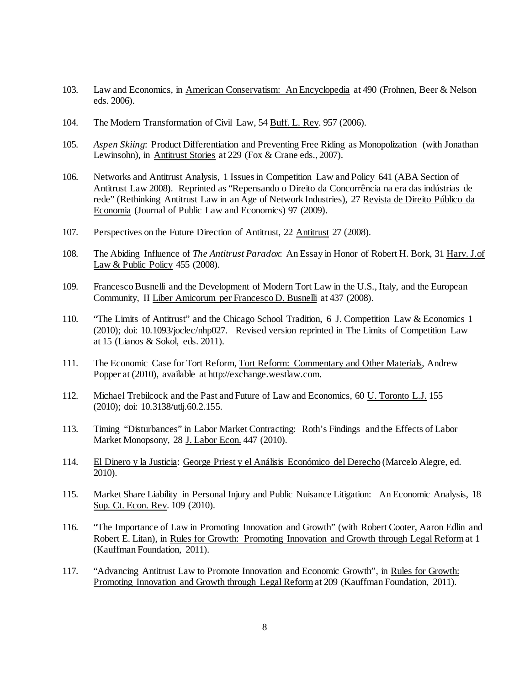- 103. Law and Economics, in American Conservatism: An Encyclopedia at 490 (Frohnen, Beer & Nelson eds. 2006).
- 104. The Modern Transformation of Civil Law, 54 Buff. L. Rev. 957 (2006).
- 105. *Aspen Skiing*: Product Differentiation and Preventing Free Riding as Monopolization (with Jonathan Lewinsohn), in Antitrust Stories at 229 (Fox & Crane eds., 2007).
- 106. Networks and Antitrust Analysis, 1 Issues in Competition Law and Policy 641 (ABA Section of Antitrust Law 2008). Reprinted as "Repensando o Direito da Concorrência na era das indústrias de rede" (Rethinking Antitrust Law in an Age of Network Industries), 27 Revista de Direito Público da Economia (Journal of Public Law and Economics) 97 (2009).
- 107. Perspectives on the Future Direction of Antitrust, 22 Antitrust 27 (2008).
- 108. The Abiding Influence of *The Antitrust Paradox*: An Essay in Honor of Robert H. Bork, 31 Harv. J.of Law & Public Policy 455 (2008).
- 109. Francesco Busnelli and the Development of Modern Tort Law in the U.S., Italy, and the European Community, II Liber Amicorum per Francesco D. Busnelli at 437 (2008).
- 110. "The Limits of Antitrust" and the Chicago School Tradition, 6 J. Competition Law & Economics 1 (2010); doi: 10.1093/joclec/nhp027. Revised version reprinted in The Limits of Competition Law at 15 (Lianos & Sokol, eds. 2011).
- 111. The Economic Case for Tort Reform, Tort Reform: Commentary and Other Materials, Andrew Popper at (2010), available at http://exchange.westlaw.com.
- 112. Michael Trebilcock and the Past and Future of Law and Economics, 60 U. Toronto L.J. 155 (2010); doi: 10.3138/utlj.60.2.155.
- 113. Timing "Disturbances" in Labor Market Contracting: Roth's Findings and the Effects of Labor Market Monopsony, 28 J. Labor Econ. 447 (2010).
- 114. El Dinero y la Justicia: George Priest y el Análisis Económico del Derecho (Marcelo Alegre, ed. 2010).
- 115. Market Share Liability in Personal Injury and Public Nuisance Litigation: An Economic Analysis, 18 Sup. Ct. Econ. Rev. 109 (2010).
- 116. "The Importance of Law in Promoting Innovation and Growth" (with Robert Cooter, Aaron Edlin and Robert E. Litan), in Rules for Growth: Promoting Innovation and Growth through Legal Reformat 1 (Kauffman Foundation, 2011).
- 117. "Advancing Antitrust Law to Promote Innovation and Economic Growth", in Rules for Growth: Promoting Innovation and Growth through Legal Reformat 209 (Kauffman Foundation, 2011).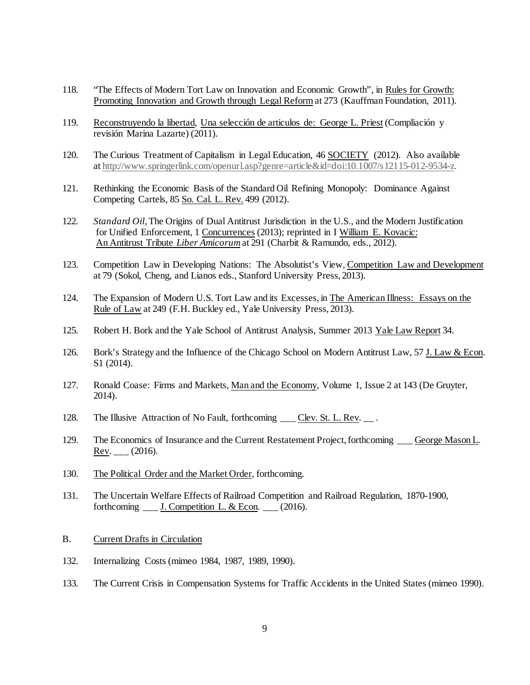- 118. "The Effects of Modern Tort Law on Innovation and Economic Growth", in Rules for Growth: Promoting Innovation and Growth through Legal Reform at 273 (Kauffman Foundation, 2011).
- 119. Reconstruyendo la libertad, Una selección de articulos de: George L. Priest (Compliación y revisión Marina Lazarte) (2011).
- 120. The Curious Treatment of Capitalism in Legal Education, 46 SOCIETY (2012). Also available a[t http://www.springerlink.com/openurl.asp?genre=article&id=doi:10.1007/s12115-012-9534-z.](http://www.springer.com/alert/urltracking.do?id=Lc10cdeM9e02b9Saffab63)
- 121. Rethinking the Economic Basis of the Standard Oil Refining Monopoly: Dominance Against Competing Cartels, 85 So. Cal. L. Rev. 499 (2012).
- 122. *Standard Oil*, The Origins of Dual Antitrust Jurisdiction in the U.S., and the Modern Justification for Unified Enforcement, 1 Concurrences (2013); reprinted in I William E. Kovacic: An Antitrust Tribute *Liber Amicorum*at 291 (Charbit & Ramundo, eds., 2012).
- 123. Competition Law in Developing Nations: The Absolutist's View, Competition Law and Development at 79 (Sokol, Cheng, and Lianos eds., Stanford University Press, 2013).
- 124. The Expansion of Modern U.S. Tort Law and its Excesses, in The American Illness: Essays on the Rule of Law at 249 (F.H. Buckley ed., Yale University Press, 2013).
- 125. Robert H. Bork and the Yale School of Antitrust Analysis, Summer 2013 Yale Law Report 34.
- 126. Bork's Strategy and the Influence of the Chicago School on Modern Antitrust Law, 57 J. Law & Econ. S1 (2014).
- 127. Ronald Coase: Firms and Markets, Man and the Economy, Volume 1, Issue 2 at 143 (De Gruyter, 2014).
- 128. The Illusive Attraction of No Fault, forthcoming \_\_\_ Clev. St. L. Rev. \_\_ .
- 129. The Economics of Insurance and the Current Restatement Project, forthcoming George Mason L. Rev.  $_{\_}$  (2016).
- 130. The Political Order and the Market Order, forthcoming.
- 131. The Uncertain Welfare Effects of Railroad Competition and Railroad Regulation, 1870-1900, forthcoming  $\frac{1}{2}$  J. Competition L. & Econ.  $\frac{1}{2}$  (2016).
- B. Current Drafts in Circulation
- 132. Internalizing Costs (mimeo 1984, 1987, 1989, 1990).
- 133. The Current Crisis in Compensation Systems for Traffic Accidents in the United States (mimeo 1990).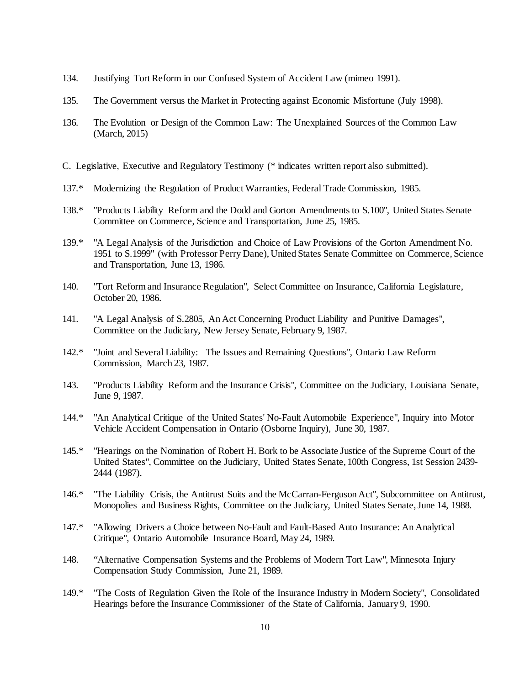- 134. Justifying Tort Reform in our Confused System of Accident Law (mimeo 1991).
- 135. The Government versus the Market in Protecting against Economic Misfortune (July 1998).
- 136. The Evolution or Design of the Common Law: The Unexplained Sources of the Common Law (March, 2015)
- C. Legislative, Executive and Regulatory Testimony (\* indicates written report also submitted).
- 137.\* Modernizing the Regulation of Product Warranties, Federal Trade Commission, 1985.
- 138.\* "Products Liability Reform and the Dodd and Gorton Amendments to S.100", United States Senate Committee on Commerce, Science and Transportation, June 25, 1985.
- 139.\* "A Legal Analysis of the Jurisdiction and Choice of Law Provisions of the Gorton Amendment No. 1951 to S.1999" (with Professor Perry Dane), United States Senate Committee on Commerce, Science and Transportation, June 13, 1986.
- 140. "Tort Reform and Insurance Regulation", Select Committee on Insurance, California Legislature, October 20, 1986.
- 141. "A Legal Analysis of S.2805, An Act Concerning Product Liability and Punitive Damages", Committee on the Judiciary, New Jersey Senate, February 9, 1987.
- 142.\* "Joint and Several Liability: The Issues and Remaining Questions", Ontario Law Reform Commission, March 23, 1987.
- 143. "Products Liability Reform and the Insurance Crisis", Committee on the Judiciary, Louisiana Senate, June 9, 1987.
- 144.\* "An Analytical Critique of the United States' No-Fault Automobile Experience", Inquiry into Motor Vehicle Accident Compensation in Ontario (Osborne Inquiry), June 30, 1987.
- 145.\* "Hearings on the Nomination of Robert H. Bork to be Associate Justice of the Supreme Court of the United States", Committee on the Judiciary, United States Senate, 100th Congress, 1st Session 2439- 2444 (1987).
- 146.\* "The Liability Crisis, the Antitrust Suits and the McCarran-Ferguson Act", Subcommittee on Antitrust, Monopolies and Business Rights, Committee on the Judiciary, United States Senate, June 14, 1988.
- 147.\* "Allowing Drivers a Choice between No-Fault and Fault-Based Auto Insurance: An Analytical Critique", Ontario Automobile Insurance Board, May 24, 1989.
- 148. "Alternative Compensation Systems and the Problems of Modern Tort Law", Minnesota Injury Compensation Study Commission, June 21, 1989.
- 149.\* "The Costs of Regulation Given the Role of the Insurance Industry in Modern Society", Consolidated Hearings before the Insurance Commissioner of the State of California, January 9, 1990.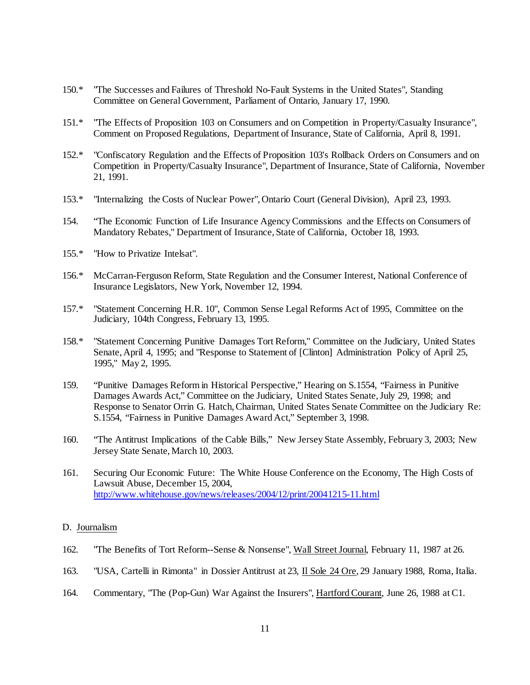- 150.\* "The Successes and Failures of Threshold No-Fault Systems in the United States", Standing Committee on General Government, Parliament of Ontario, January 17, 1990.
- 151.\* "The Effects of Proposition 103 on Consumers and on Competition in Property/Casualty Insurance", Comment on Proposed Regulations, Department of Insurance, State of California, April 8, 1991.
- 152.\* "Confiscatory Regulation and the Effects of Proposition 103's Rollback Orders on Consumers and on Competition in Property/Casualty Insurance", Department of Insurance, State of California, November 21, 1991.
- 153.\* "Internalizing the Costs of Nuclear Power", Ontario Court (General Division), April 23, 1993.
- 154. "The Economic Function of Life Insurance Agency Commissions and the Effects on Consumers of Mandatory Rebates," Department of Insurance, State of California, October 18, 1993.
- 155.\* "How to Privatize Intelsat".
- 156.\* McCarran-Ferguson Reform, State Regulation and the Consumer Interest, National Conference of Insurance Legislators, New York, November 12, 1994.
- 157.\* "Statement Concerning H.R. 10", Common Sense Legal Reforms Act of 1995, Committee on the Judiciary, 104th Congress, February 13, 1995.
- 158.\* "Statement Concerning Punitive Damages Tort Reform," Committee on the Judiciary, United States Senate, April 4, 1995; and "Response to Statement of [Clinton] Administration Policy of April 25, 1995," May 2, 1995.
- 159. "Punitive Damages Reform in Historical Perspective," Hearing on S.1554, "Fairness in Punitive Damages Awards Act," Committee on the Judiciary, United States Senate, July 29, 1998; and Response to Senator Orrin G. Hatch, Chairman, United States Senate Committee on the Judiciary Re: S.1554, "Fairness in Punitive Damages Award Act," September 3, 1998.
- 160. "The Antitrust Implications of the Cable Bills," New Jersey State Assembly, February 3, 2003; New Jersey State Senate, March 10, 2003.
- 161. Securing Our Economic Future: The White House Conference on the Economy, The High Costs of Lawsuit Abuse, December 15, 2004, <http://www.whitehouse.gov/news/releases/2004/12/print/20041215-11.html>

#### D. Journalism

- 162. "The Benefits of Tort Reform--Sense & Nonsense", Wall Street Journal, February 11, 1987 at 26.
- 163. "USA, Cartelli in Rimonta" in Dossier Antitrust at 23, Il Sole 24 Ore, 29 January 1988, Roma, Italia.
- 164. Commentary, "The (Pop-Gun) War Against the Insurers", Hartford Courant, June 26, 1988 at C1.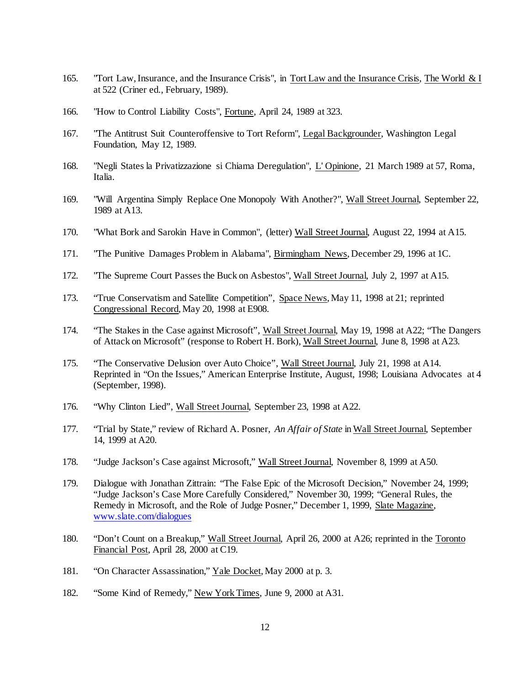- 165. "Tort Law, Insurance, and the Insurance Crisis", in Tort Law and the Insurance Crisis, The World & I at 522 (Criner ed., February, 1989).
- 166. "How to Control Liability Costs", Fortune, April 24, 1989 at 323.
- 167. "The Antitrust Suit Counteroffensive to Tort Reform", Legal Backgrounder, Washington Legal Foundation, May 12, 1989.
- 168. "Negli States la Privatizzazione si Chiama Deregulation", L' Opinione, 21 March 1989 at 57, Roma, Italia.
- 169. "Will Argentina Simply Replace One Monopoly With Another?", Wall Street Journal, September 22, 1989 at A13.
- 170. "What Bork and Sarokin Have in Common", (letter) Wall Street Journal, August 22, 1994 at A15.
- 171. "The Punitive Damages Problem in Alabama", Birmingham News, December 29, 1996 at 1C.
- 172. "The Supreme Court Passes the Buck on Asbestos", Wall Street Journal, July 2, 1997 at A15.
- 173. "True Conservatism and Satellite Competition", Space News, May 11, 1998 at 21; reprinted Congressional Record, May 20, 1998 at E908.
- 174. "The Stakes in the Case against Microsoft", Wall Street Journal, May 19, 1998 at A22; "The Dangers of Attack on Microsoft" (response to Robert H. Bork), Wall Street Journal, June 8, 1998 at A23.
- 175. "The Conservative Delusion over Auto Choice", Wall Street Journal, July 21, 1998 at A14. Reprinted in "On the Issues," American Enterprise Institute, August, 1998; Louisiana Advocates at 4 (September, 1998).
- 176. "Why Clinton Lied", Wall Street Journal, September 23, 1998 at A22.
- 177. "Trial by State," review of Richard A. Posner, *An Affair of State* in Wall Street Journal, September 14, 1999 at A20.
- 178. "Judge Jackson's Case against Microsoft," Wall Street Journal, November 8, 1999 at A50.
- 179. Dialogue with Jonathan Zittrain: "The False Epic of the Microsoft Decision," November 24, 1999; "Judge Jackson's Case More Carefully Considered," November 30, 1999; "General Rules, the Remedy in Microsoft, and the Role of Judge Posner," December 1, 1999, Slate Magazine, www.slate.com/dialogues
- 180. "Don't Count on a Breakup," Wall Street Journal, April 26, 2000 at A26; reprinted in the Toronto Financial Post, April 28, 2000 at C19.
- 181. "On Character Assassination," Yale Docket, May 2000 at p. 3.
- 182. "Some Kind of Remedy," New York Times, June 9, 2000 at A31.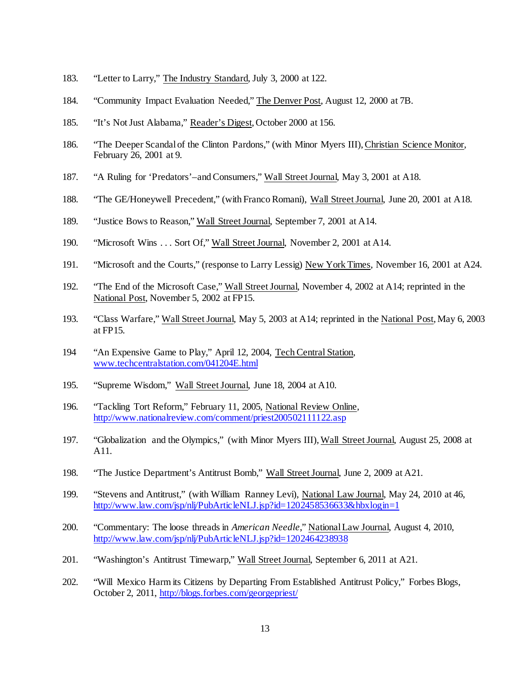- 183. "Letter to Larry," The Industry Standard, July 3, 2000 at 122.
- 184. "Community Impact Evaluation Needed," The Denver Post, August 12, 2000 at 7B.
- 185. "It's Not Just Alabama," Reader's Digest, October 2000 at 156.
- 186. "The Deeper Scandal of the Clinton Pardons," (with Minor Myers III), Christian Science Monitor, February 26, 2001 at 9.
- 187. "A Ruling for 'Predators'–and Consumers," Wall Street Journal, May 3, 2001 at A18.
- 188. "The GE/Honeywell Precedent," (with Franco Romani), Wall Street Journal, June 20, 2001 at A18.
- 189. "Justice Bows to Reason," Wall Street Journal, September 7, 2001 at A14.
- 190. "Microsoft Wins . . . Sort Of," Wall Street Journal, November 2, 2001 at A14.
- 191. "Microsoft and the Courts," (response to Larry Lessig) New York Times, November 16, 2001 at A24.
- 192. "The End of the Microsoft Case," Wall Street Journal, November 4, 2002 at A14; reprinted in the National Post, November 5, 2002 at FP15.
- 193. "Class Warfare," Wall Street Journal, May 5, 2003 at A14; reprinted in the National Post, May 6, 2003 at FP15.
- 194 "An Expensive Game to Play," April 12, 2004, Tech Central Station, [www.techcentralstation.com/041204E.html](http://www.techcentralstation.com/041204E.html)
- 195. "Supreme Wisdom," Wall Street Journal, June 18, 2004 at A10.
- 196. "Tackling Tort Reform," February 11, 2005, National Review Online, <http://www.nationalreview.com/comment/priest200502111122.asp>
- 197. "Globalization and the Olympics," (with Minor Myers III), Wall Street Journal, August 25, 2008 at A11.
- 198. "The Justice Department's Antitrust Bomb," Wall Street Journal, June 2, 2009 at A21.
- 199. "Stevens and Antitrust," (with William Ranney Levi), National Law Journal, May 24, 2010 at 46, <http://www.law.com/jsp/nlj/PubArticleNLJ.jsp?id=1202458536633&hbxlogin=1>
- 200. "Commentary: The loose threads in *American Needle*," National Law Journal, August 4, 2010, <http://www.law.com/jsp/nlj/PubArticleNLJ.jsp?id=1202464238938>
- 201. "Washington's Antitrust Timewarp," Wall Street Journal, September 6, 2011 at A21.
- 202. "Will Mexico Harm its Citizens by Departing From Established Antitrust Policy," Forbes Blogs, October 2, 2011,<http://blogs.forbes.com/georgepriest/>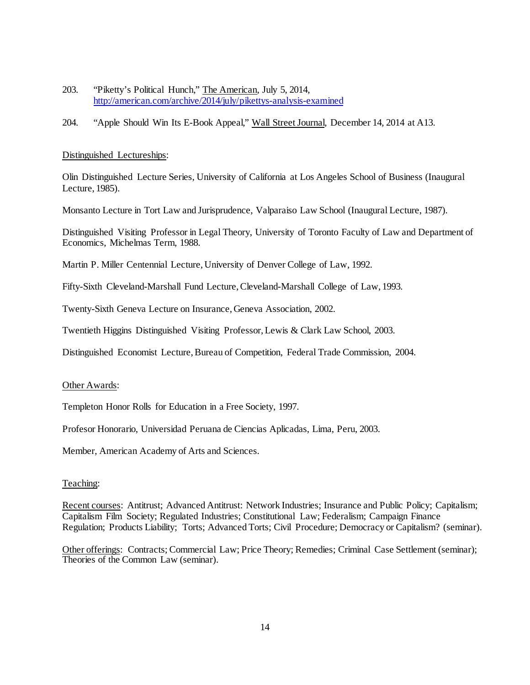- 203. "Piketty's Political Hunch," The American, July 5, 2014, <http://american.com/archive/2014/july/pikettys-analysis-examined>
- 204. "Apple Should Win Its E-Book Appeal," Wall Street Journal, December 14, 2014 at A13.

### Distinguished Lectureships:

Olin Distinguished Lecture Series, University of California at Los Angeles School of Business (Inaugural Lecture, 1985).

Monsanto Lecture in Tort Law and Jurisprudence, Valparaiso Law School (Inaugural Lecture, 1987).

Distinguished Visiting Professor in Legal Theory, University of Toronto Faculty of Law and Department of Economics, Michelmas Term, 1988.

Martin P. Miller Centennial Lecture, University of Denver College of Law, 1992.

Fifty-Sixth Cleveland-Marshall Fund Lecture, Cleveland-Marshall College of Law, 1993.

Twenty-Sixth Geneva Lecture on Insurance, Geneva Association, 2002.

Twentieth Higgins Distinguished Visiting Professor, Lewis & Clark Law School, 2003.

Distinguished Economist Lecture, Bureau of Competition, Federal Trade Commission, 2004.

### Other Awards:

Templeton Honor Rolls for Education in a Free Society, 1997.

Profesor Honorario, Universidad Peruana de Ciencias Aplicadas, Lima, Peru, 2003.

Member, American Academy of Arts and Sciences.

### Teaching:

Recent courses: Antitrust; Advanced Antitrust: Network Industries; Insurance and Public Policy; Capitalism; Capitalism Film Society; Regulated Industries; Constitutional Law; Federalism; Campaign Finance Regulation; Products Liability; Torts; Advanced Torts; Civil Procedure; Democracy or Capitalism? (seminar).

Other offerings: Contracts; Commercial Law; Price Theory; Remedies; Criminal Case Settlement (seminar); Theories of the Common Law (seminar).